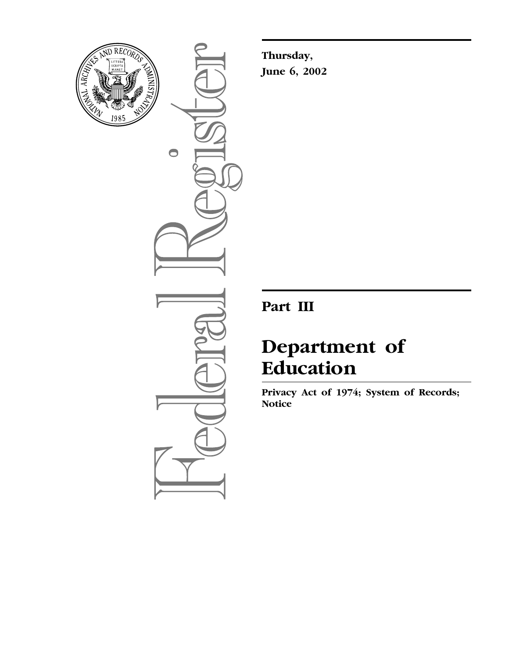

 $\bullet$ 

**Thursday, June 6, 2002** 

# **Part III**

# **Department of Education**

**Privacy Act of 1974; System of Records; Notice**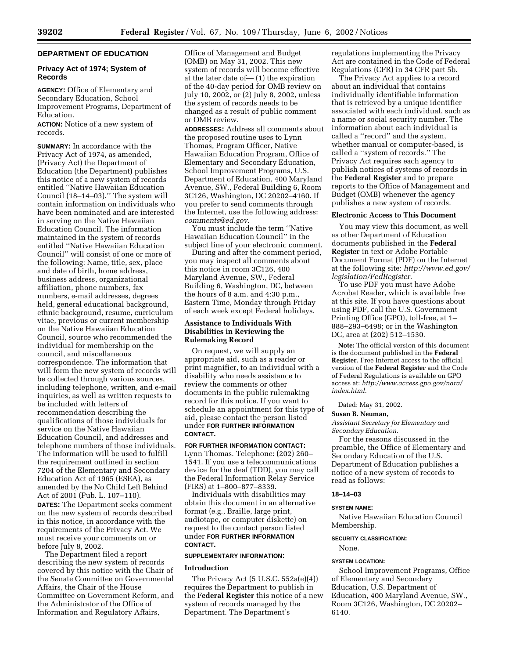# **DEPARTMENT OF EDUCATION**

# **Privacy Act of 1974; System of Records**

**AGENCY:** Office of Elementary and Secondary Education, School Improvement Programs, Department of Education.

**ACTION:** Notice of a new system of records.

**SUMMARY:** In accordance with the Privacy Act of 1974, as amended, (Privacy Act) the Department of Education (the Department) publishes this notice of a new system of records entitled ''Native Hawaiian Education Council (18–14–03).'' The system will contain information on individuals who have been nominated and are interested in serving on the Native Hawaiian Education Council. The information maintained in the system of records entitled ''Native Hawaiian Education Council'' will consist of one or more of the following: Name, title, sex, place and date of birth, home address, business address, organizational affiliation, phone numbers, fax numbers, e-mail addresses, degrees held, general educational background, ethnic background, resume, curriculum vitae, previous or current membership on the Native Hawaiian Education Council, source who recommended the individual for membership on the council, and miscellaneous correspondence. The information that will form the new system of records will be collected through various sources, including telephone, written, and e-mail inquiries, as well as written requests to be included with letters of recommendation describing the qualifications of those individuals for service on the Native Hawaiian Education Council, and addresses and telephone numbers of those individuals. The information will be used to fulfill the requirement outlined in section 7204 of the Elementary and Secondary Education Act of 1965 (ESEA), as amended by the No Child Left Behind Act of 2001 (Pub. L. 107–110). **DATES:** The Department seeks comment on the new system of records described in this notice, in accordance with the requirements of the Privacy Act. We must receive your comments on or before July 8, 2002.

The Department filed a report describing the new system of records covered by this notice with the Chair of the Senate Committee on Governmental Affairs, the Chair of the House Committee on Government Reform, and the Administrator of the Office of Information and Regulatory Affairs,

Office of Management and Budget (OMB) on May 31, 2002. This new system of records will become effective at the later date of— (1) the expiration of the 40-day period for OMB review on July 10, 2002, or (2) July 8, 2002, unless the system of records needs to be changed as a result of public comment or OMB review.

**ADDRESSES:** Address all comments about the proposed routine uses to Lynn Thomas, Program Officer, Native Hawaiian Education Program, Office of Elementary and Secondary Education, School Improvement Programs, U.S. Department of Education, 400 Maryland Avenue, SW., Federal Building 6, Room 3C126, Washington, DC 20202–4160. If you prefer to send comments through the Internet, use the following address: *comments@ed.gov.* 

You must include the term ''Native Hawaiian Education Council'' in the subject line of your electronic comment.

During and after the comment period, you may inspect all comments about this notice in room 3C126, 400 Maryland Avenue, SW., Federal Building 6, Washington, DC, between the hours of 8 a.m. and 4:30 p.m., Eastern Time, Monday through Friday of each week except Federal holidays.

# **Assistance to Individuals With Disabilities in Reviewing the Rulemaking Record**

On request, we will supply an appropriate aid, such as a reader or print magnifier, to an individual with a disability who needs assistance to review the comments or other documents in the public rulemaking record for this notice. If you want to schedule an appointment for this type of aid, please contact the person listed under **FOR FURTHER INFORMATION CONTACT.** 

# **FOR FURTHER INFORMATION CONTACT:**

Lynn Thomas. Telephone: (202) 260– 1541. If you use a telecommunications device for the deaf (TDD), you may call the Federal Information Relay Service (FIRS) at 1–800–877–8339.

Individuals with disabilities may obtain this document in an alternative format (e.g., Braille, large print, audiotape, or computer diskette) on request to the contact person listed under **FOR FURTHER INFORMATION CONTACT.** 

#### **SUPPLEMENTARY INFORMATION:**

#### **Introduction**

The Privacy Act (5 U.S.C. 552a(e)(4)) requires the Department to publish in the **Federal Register** this notice of a new system of records managed by the Department. The Department's

regulations implementing the Privacy Act are contained in the Code of Federal Regulations (CFR) in 34 CFR part 5b.

The Privacy Act applies to a record about an individual that contains individually identifiable information that is retrieved by a unique identifier associated with each individual, such as a name or social security number. The information about each individual is called a ''record'' and the system, whether manual or computer-based, is called a ''system of records.'' The Privacy Act requires each agency to publish notices of systems of records in the **Federal Register** and to prepare reports to the Office of Management and Budget (OMB) whenever the agency publishes a new system of records.

#### **Electronic Access to This Document**

You may view this document, as well as other Department of Education documents published in the **Federal Register** in text or Adobe Portable Document Format (PDF) on the Internet at the following site: *http://www.ed.gov/ legislation/FedRegister.* 

To use PDF you must have Adobe Acrobat Reader, which is available free at this site. If you have questions about using PDF, call the U.S. Government Printing Office (GPO), toll-free, at 1– 888–293–6498; or in the Washington DC, area at (202) 512–1530.

**Note:** The official version of this document is the document published in the **Federal Register**. Free Internet access to the official version of the **Federal Register** and the Code of Federal Regulations is available on GPO access at: *http://www.access.gpo.gov/nara/ index.html.* 

Dated: May 31, 2002.

#### **Susan B. Neuman,**

*Assistant Secretary for Elementary and Secondary Education.* 

For the reasons discussed in the preamble, the Office of Elementary and Secondary Education of the U.S. Department of Education publishes a notice of a new system of records to read as follows:

# **18–14–03**

#### **SYSTEM NAME:**

Native Hawaiian Education Council Membership.

#### **SECURITY CLASSIFICATION:**

# None.

# **SYSTEM LOCATION:**

School Improvement Programs, Office of Elementary and Secondary Education, U.S. Department of Education, 400 Maryland Avenue, SW., Room 3C126, Washington, DC 20202– 6140.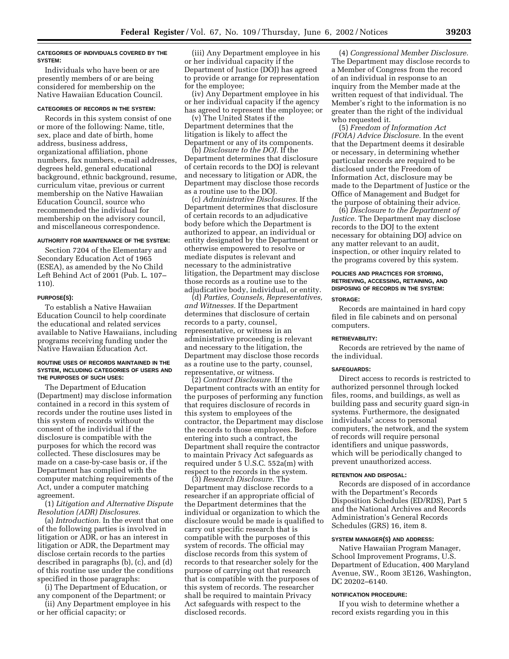#### **CATEGORIES OF INDIVIDUALS COVERED BY THE SYSTEM:**

Individuals who have been or are presently members of or are being considered for membership on the Native Hawaiian Education Council.

#### **CATEGORIES OF RECORDS IN THE SYSTEM:**

Records in this system consist of one or more of the following: Name, title, sex, place and date of birth, home address, business address, organizational affiliation, phone numbers, fax numbers, e-mail addresses, degrees held, general educational background, ethnic background, resume, curriculum vitae, previous or current membership on the Native Hawaiian Education Council, source who recommended the individual for membership on the advisory council, and miscellaneous correspondence.

#### **AUTHORITY FOR MAINTENANCE OF THE SYSTEM:**

Section 7204 of the Elementary and Secondary Education Act of 1965 (ESEA), as amended by the No Child Left Behind Act of 2001 (Pub. L. 107– 110).

#### **PURPOSE(S):**

To establish a Native Hawaiian Education Council to help coordinate the educational and related services available to Native Hawaiians, including programs receiving funding under the Native Hawaiian Education Act.

#### **ROUTINE USES OF RECORDS MAINTAINED IN THE SYSTEM, INCLUDING CATEGORIES OF USERS AND THE PURPOSES OF SUCH USES:**

The Department of Education (Department) may disclose information contained in a record in this system of records under the routine uses listed in this system of records without the consent of the individual if the disclosure is compatible with the purposes for which the record was collected. These disclosures may be made on a case-by-case basis or, if the Department has complied with the computer matching requirements of the Act, under a computer matching agreement.

(1) *Litigation and Alternative Dispute Resolution (ADR) Disclosures.* 

(a) *Introduction.* In the event that one of the following parties is involved in litigation or ADR, or has an interest in litigation or ADR, the Department may disclose certain records to the parties described in paragraphs (b), (c), and (d) of this routine use under the conditions specified in those paragraphs:

(i) The Department of Education, or any component of the Department; or

(ii) Any Department employee in his or her official capacity; or

(iii) Any Department employee in his or her individual capacity if the Department of Justice (DOJ) has agreed to provide or arrange for representation for the employee;

(iv) Any Department employee in his or her individual capacity if the agency has agreed to represent the employee; or

(v) The United States if the Department determines that the litigation is likely to affect the Department or any of its components.

(b) *Disclosure to the DOJ.* If the Department determines that disclosure of certain records to the DOJ is relevant and necessary to litigation or ADR, the Department may disclose those records as a routine use to the DOJ.

(c) *Administrative Disclosures.* If the Department determines that disclosure of certain records to an adjudicative body before which the Department is authorized to appear, an individual or entity designated by the Department or otherwise empowered to resolve or mediate disputes is relevant and necessary to the administrative litigation, the Department may disclose those records as a routine use to the adjudicative body, individual, or entity.

(d) *Parties, Counsels, Representatives, and Witnesses.* If the Department determines that disclosure of certain records to a party, counsel, representative, or witness in an administrative proceeding is relevant and necessary to the litigation, the Department may disclose those records as a routine use to the party, counsel, representative, or witness.

(2) *Contract Disclosure.* If the Department contracts with an entity for the purposes of performing any function that requires disclosure of records in this system to employees of the contractor, the Department may disclose the records to those employees. Before entering into such a contract, the Department shall require the contractor to maintain Privacy Act safeguards as required under 5 U.S.C. 552a(m) with respect to the records in the system.

(3) *Research Disclosure.* The Department may disclose records to a researcher if an appropriate official of the Department determines that the individual or organization to which the disclosure would be made is qualified to carry out specific research that is compatible with the purposes of this system of records. The official may disclose records from this system of records to that researcher solely for the purpose of carrying out that research that is compatible with the purposes of this system of records. The researcher shall be required to maintain Privacy Act safeguards with respect to the disclosed records.

(4) *Congressional Member Disclosure.*  The Department may disclose records to a Member of Congress from the record of an individual in response to an inquiry from the Member made at the written request of that individual. The Member's right to the information is no greater than the right of the individual who requested it.

(5) *Freedom of Information Act (FOIA) Advice Disclosure.* In the event that the Department deems it desirable or necessary, in determining whether particular records are required to be disclosed under the Freedom of Information Act, disclosure may be made to the Department of Justice or the Office of Management and Budget for the purpose of obtaining their advice.

(6) *Disclosure to the Department of Justice.* The Department may disclose records to the DOJ to the extent necessary for obtaining DOJ advice on any matter relevant to an audit, inspection, or other inquiry related to the programs covered by this system.

#### **POLICIES AND PRACTICES FOR STORING, RETRIEVING, ACCESSING, RETAINING, AND DISPOSING OF RECORDS IN THE SYSTEM: STORAGE:**

Records are maintained in hard copy filed in file cabinets and on personal computers.

#### **RETRIEVABILITY:**

Records are retrieved by the name of the individual.

#### **SAFEGUARDS:**

Direct access to records is restricted to authorized personnel through locked files, rooms, and buildings, as well as building pass and security guard sign-in systems. Furthermore, the designated individuals' access to personal computers, the network, and the system of records will require personal identifiers and unique passwords, which will be periodically changed to prevent unauthorized access.

#### **RETENTION AND DISPOSAL:**

Records are disposed of in accordance with the Department's Records Disposition Schedules (ED/RDS), Part 5 and the National Archives and Records Administration's General Records Schedules (GRS) 16, item 8.

#### **SYSTEM MANAGER(S) AND ADDRESS:**

Native Hawaiian Program Manager, School Improvement Programs, U.S. Department of Education, 400 Maryland Avenue, SW., Room 3E126, Washington, DC 20202–6140.

#### **NOTIFICATION PROCEDURE:**

If you wish to determine whether a record exists regarding you in this